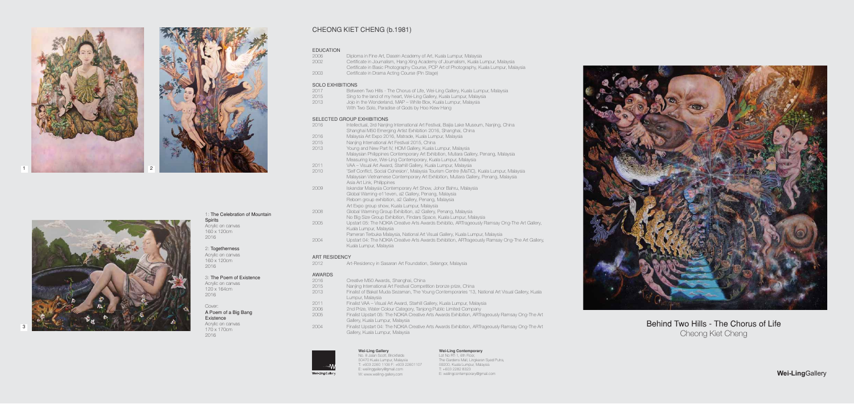**Wei-Ling**Gallery

**Wei-Ling Gallery** No. 8 Jalan Scott, Brickfields 50470 Kuala Lumpur, Malaysia T: +603 2260 1106 F: +603 22601107 E: weilinggallery@gmail.com W: www.weiling-gallery.com

**Wei-Ling Contemporary** Lot No RT-1, 6th Floor, The Gardens Mall, Lingkaran Syed Putra, 59200, Kuala Lumpur, Malaysia T: +603 2282 8323 E: weilingcontemporary@gmail.com



## CHEONG KIET CHENG (b.1981)

## EDUCATION

Behind Two Hills - The Chorus of Life Cheong Kiet Cheng

| LUUUNIIUI<br>2006<br>2002<br>2003 | Diploma in Fine Art, Dasein Academy of Art, Ku<br>Certificate in Journalism, Hang Xing Academy o<br>Certificate in Basic Photography Course, PCP.<br>Certificate in Drama Acting Course (Pin Stage) |
|-----------------------------------|-----------------------------------------------------------------------------------------------------------------------------------------------------------------------------------------------------|
| <b>SOLO EXHIBITIONS</b>           |                                                                                                                                                                                                     |
| 2017                              | Between Two Hills - The Chorus of Life, Wei-Li                                                                                                                                                      |
| 2015                              | Sing to the land of my heart, Wei-Ling Gallery,                                                                                                                                                     |
| 2013                              | Jojo in the Wonderland, MAP - White Box, Kua<br>With Two Solo, Paradise of Gods by Hoo Kiew                                                                                                         |
|                                   | <b>SELECTED GROUP EXHIBITIONS</b>                                                                                                                                                                   |
| 2016                              | Intellectual, 3rd Nanjing International Art Festiva<br>Shanghai M50 Emerging Artist Exhibition 2016                                                                                                 |
| 2016                              | Malaysia Art Expo 2016, Matrade, Kuala Lump                                                                                                                                                         |
| 2015                              | Nanjing International Art Festival 2015, China                                                                                                                                                      |
| 2013                              | Young and New Part IV, HOM Gallery, Kuala Lu<br>Malaysian Philippines Contemporary Art Exhibit<br>Measuring love, Wei-Ling Contemporary, Kuala                                                      |
| 2011                              | VAA - Visual Art Award, Starhill Gallery, Kuala L                                                                                                                                                   |
| 2010                              | 'Self Conflict, Social Cohesion', Malaysia Touris<br>Malaysian Vietnamese Contemporary Art Exhib<br>Asia Art Link, Phillppines                                                                      |
| 2009                              | Iskandar Malaysia Contemporary Art Show, Jol<br>Global Warning-e11even, a2 Gallery, Penang,<br>Reborn group exhibition, a2 Gallery, Penang, N<br>Art Expo group show, Kuala Lumpur, Malaysia        |
| 2008                              | Global Warming Group Exhibition, a2 Gallery, F<br>No Big Size Group Exhibition, Findars Space, I                                                                                                    |
| 2005                              | Upstart 05: The NOKIA Creative Arts Awards E<br>Kuala Lumpur, Malaysia<br>Pameran Terbuka Malaysia, National Art Visual                                                                             |
| 2004                              | Upstart 04: The NOKIA Creative Arts Awards E<br>Kuala Lumpur, Malaysia                                                                                                                              |
| <b>ART RESIDENCY</b>              |                                                                                                                                                                                                     |
| 2012                              | Art-Residency in Sasaran Art Foundation, Selar                                                                                                                                                      |
| AWARDS                            |                                                                                                                                                                                                     |
| 2016                              | Creative M50 Awards, Shanghai, China                                                                                                                                                                |
| 2015                              | Nanjing International Art Festival Competition br                                                                                                                                                   |
| 2013                              | Finalist of Bakat Muda Sezaman, The Young C<br>Lumpur, Malaysia                                                                                                                                     |
| 2011                              | Finalist VAA - Visual Art Award, Starhill Gallery,                                                                                                                                                  |
| 2006                              | 2nd Prize, Water Colour Category, Tanjong Puk                                                                                                                                                       |
| 2005                              | Finalist Upstart 05: The NOKIA Creative Arts Av<br>Gallery, Kuala Lumpur, Malaysia                                                                                                                  |
| 2004                              | Finalist Upstart 04: The NOKIA Creative Arts Av<br>Gallery, Kuala Lumpur, Malaysia                                                                                                                  |



1: The Celebration of Mountain

Wei-Ling Gallery

2006 art, Kuala Lumpur, Malaysia 2002 Certificate in Journalism, Hangy Academy of Journalism, Kuala Lumpur, Malaysia PCP Art of Photography, Kuala Lumpur, Malaysia

Vei-Ling Gallery, Kuala Lumpur, Malaysia allery, Kuala Lumpur, Malaysia <sup>2</sup><br>2013 Kuala Lumpur, Malaysia Kiew Hang

estival, Baijia Lake Museum, Nanjing, China 2016, Shanghai, China <sub>2</sub>016 Lumpur, Malaysia ala Lumpur, Malaysia ixhibition, Mutiara Gallery, Penang, Malaysia Kuala Lumpur, Malaysia uala Lumpur, Malaysia Tourism Centre (MaTiC), Kuala Lumpur, Malaysia Exhibition, Mutiara Gallery, Penang, Malaysia

w, Johor Bahru, Malaysia ang, Malaysia ng, Malaysia lery, Penang, Malaysia ace, Kuala Lumpur, Malaysia ards Exhibitio, ARTrageously Ramsay Ong-The Art Gallery,

Fameran Terbuka Mala Yisual Art Visual Gallery, Kuala Lumpur, Malaysia ards Exhibition, ARTrageously Ramsay Ong-The Art Gallery,

Selangor, Malaysia

ion bronze prize, China Ing Contemporaries '13, National Art Visual Gallery, Kuala

allery, Kuala Lumpur, Malaysia **2006 2006 2006 2006 2016 2016** 2016 2016 2016 2016 2016 2016 2016 2020 exts Awards Exhibition, ARTrageously Ramsay Ong-The Art

2004 Amards Exhibition, ARTrageously Ramsay Ong-The Art

Spirits

Acrylic on canvas 160 x 120cm

2016

2: Togetherness Acrylic on canvas 160 x 120cm 2016

3: The Poem of Existence



Acrylic on canvas 120 x 164cm 2016

Cover:

A Poem of a Big Bang

Existence Acrylic on canvas 170 x 170cm

2016